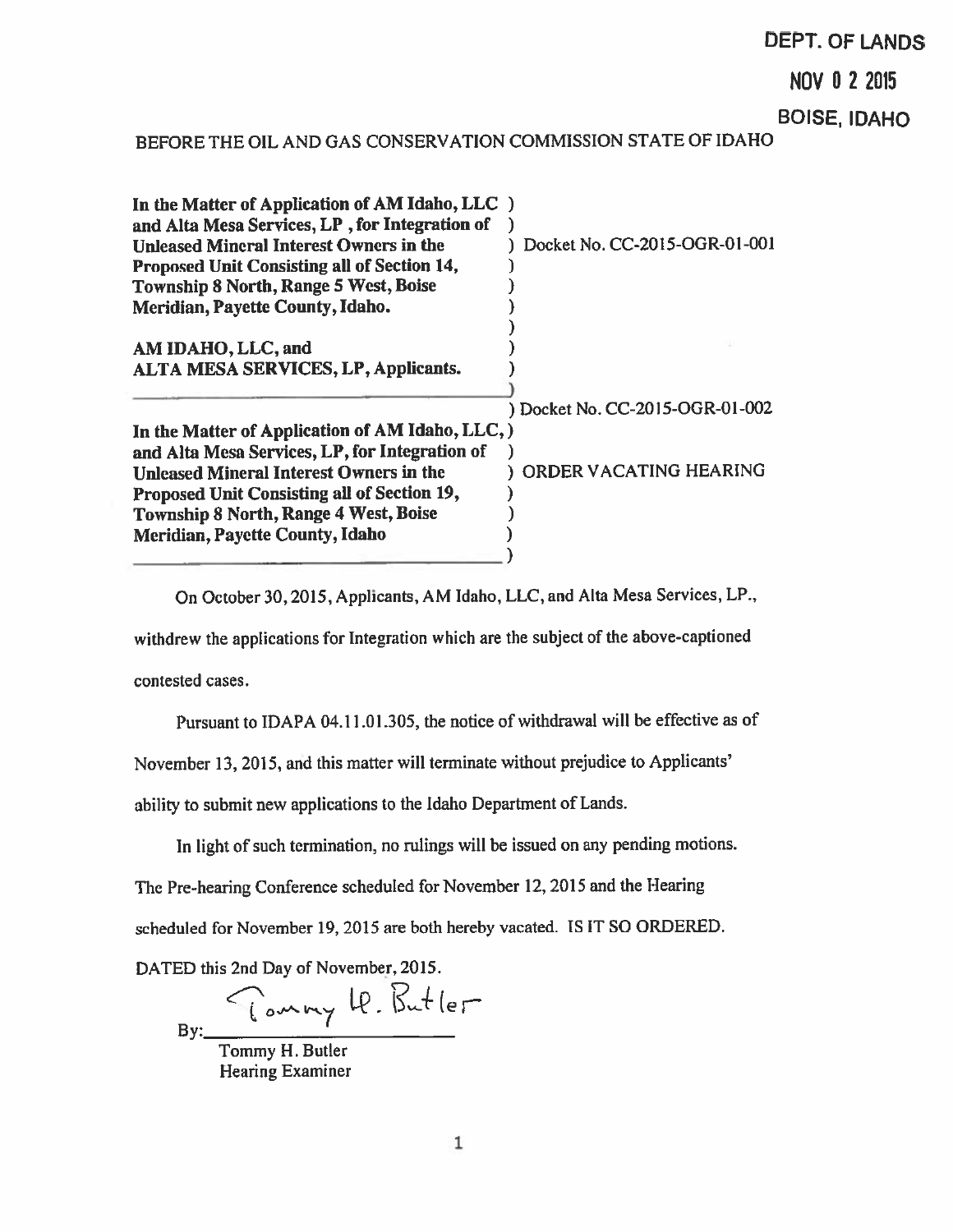# DEPT. OF LANDS

NOV D 22015

BOISE, IDAHO

# BEFORE THE OIL AND GAS CONSERVATION COMMISSION STATE OF IDAHO

| BEFORE THE OIL AND GAS CONSERVATION COMMISSION STATE OF IDAHO                                                                                                                                                                                                                                 |                                 |
|-----------------------------------------------------------------------------------------------------------------------------------------------------------------------------------------------------------------------------------------------------------------------------------------------|---------------------------------|
| In the Matter of Application of AM Idaho, LLC )<br>and Alta Mesa Services, LP, for Integration of<br><b>Unleased Mineral Interest Owners in the</b><br>Proposed Unit Consisting all of Section 14,<br><b>Township 8 North, Range 5 West, Boise</b><br><b>Meridian, Payette County, Idaho.</b> | Docket No. CC-2015-OGR-01-001   |
| AM IDAHO, LLC, and<br><b>ALTA MESA SERVICES, LP, Applicants.</b>                                                                                                                                                                                                                              |                                 |
| In the Matter of Application of AM Idaho, LLC, )<br>and Alta Mesa Services, LP, for Integration of                                                                                                                                                                                            | ) Docket No. CC-2015-OGR-01-002 |
| <b>Unleased Mineral Interest Owners in the</b><br>Proposed Unit Consisting all of Section 19,<br><b>Township 8 North, Range 4 West, Boise</b><br>Meridian, Payette County, Idaho                                                                                                              | ORDER VACATING HEARING          |

On October 30,2015, Applicants, AM Idaho, LLC, and Alta Mesa Services, LP.,

withdrew the applications for Integration which are the subject of the above-captioned

contested cases.

Pursuant to IDAPA 04.11.01.305, the notice of withdrawal will be effective as of

November 13, 2015, and this matter will terminate without prejudice to Applicants'

ability to submit new applications to the Idaho Department of Lands.

In light of such termination, no rulings will be issued on any pending motions.

The Pre-hearing Conference scheduled for November 12, <sup>2015</sup> and the Hearing

scheduled for November 19, 2015 are both hereby vacated. IS IT SO ORDERED.

DATED this 2nd Day of November, 2015.

In  $2+1$  $By:$   $By:$ 

Tommy H. Butler Hearing Examiner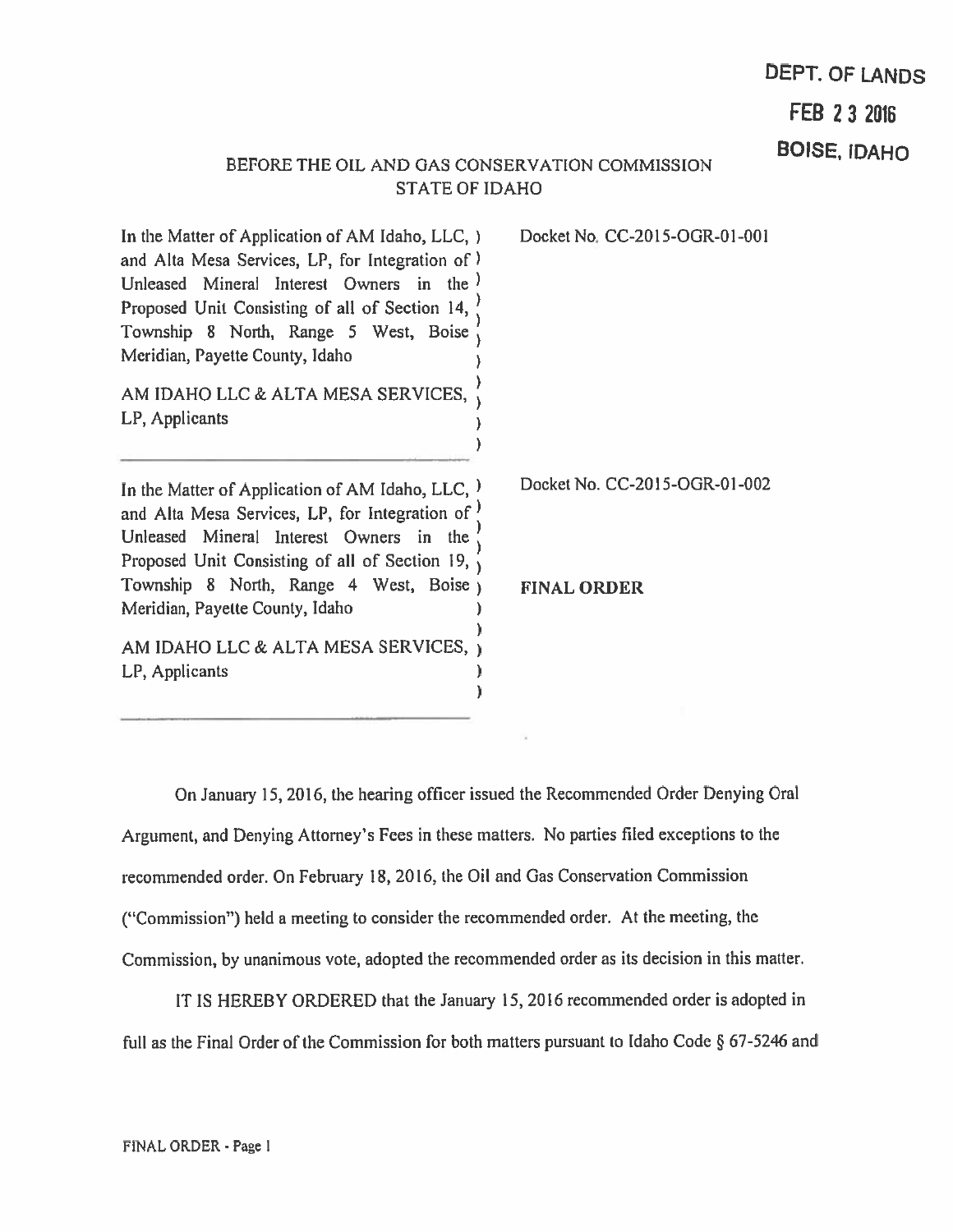# DEPT. OF LANDS

FEB 23 2016

# BOISE, IDAHO STATE OF IDAHO

 $\lambda$  $\overline{\phantom{a}}$ 

J.

In the Matter of Application of AM Idaho, LLC, ) Docket No. CC-2015-OGR-0l-00I and Alta Mesa Services, LP, for Integration of Unleased Mineral Interest Owners in the l Proposed Unit Consisting of all of Section 14, Township 8 North, Range 5 West, Boise  $\frac{7}{10}$ Meridian, Payette County, Idaho

AM IDAHO LLC & ALTA MESA SERVICES, LP, Applicants

In the Matter of Application of AM Idaho, LLC,  $)$  Docket No. CC-2015-OGR-01-002 and Alta Mesa Services, LP, for Integration of  $)$ Unleased Mineral Interest Owners in the  $\frac{1}{1}$ Proposed Unit Consisting of all of Section 19,  $\sqrt{ }$ Township 8 North, Range 4 West, Boise FINAL ORDER Meridian. Payette County, Idaho

AM IDAHO LLC & ALTA MESA SERVICES, LP, Applicants  $\mathcal{E}$  $\lambda$ 

On January 15, 2016, the hearing officer issued the Recommended Order Denying Oral Argument, and Denying Attorney's Fees in these matters. No parties filed exceptions to the recommended order. On February 18, 2016, the Oil and Gas Conservation Commission ("Commission") held <sup>a</sup> meeting to consider the recommended order. At the meeting, the Commission, by unanimous vote, adopted the recommended order as its decision in this matter.

IT IS HEREBY ORDERED that the January 15, 2016 recommended order is adopted in full as the Final Order of the Commission for both matters pursuant to Idaho Code  $\S$  67-5246 and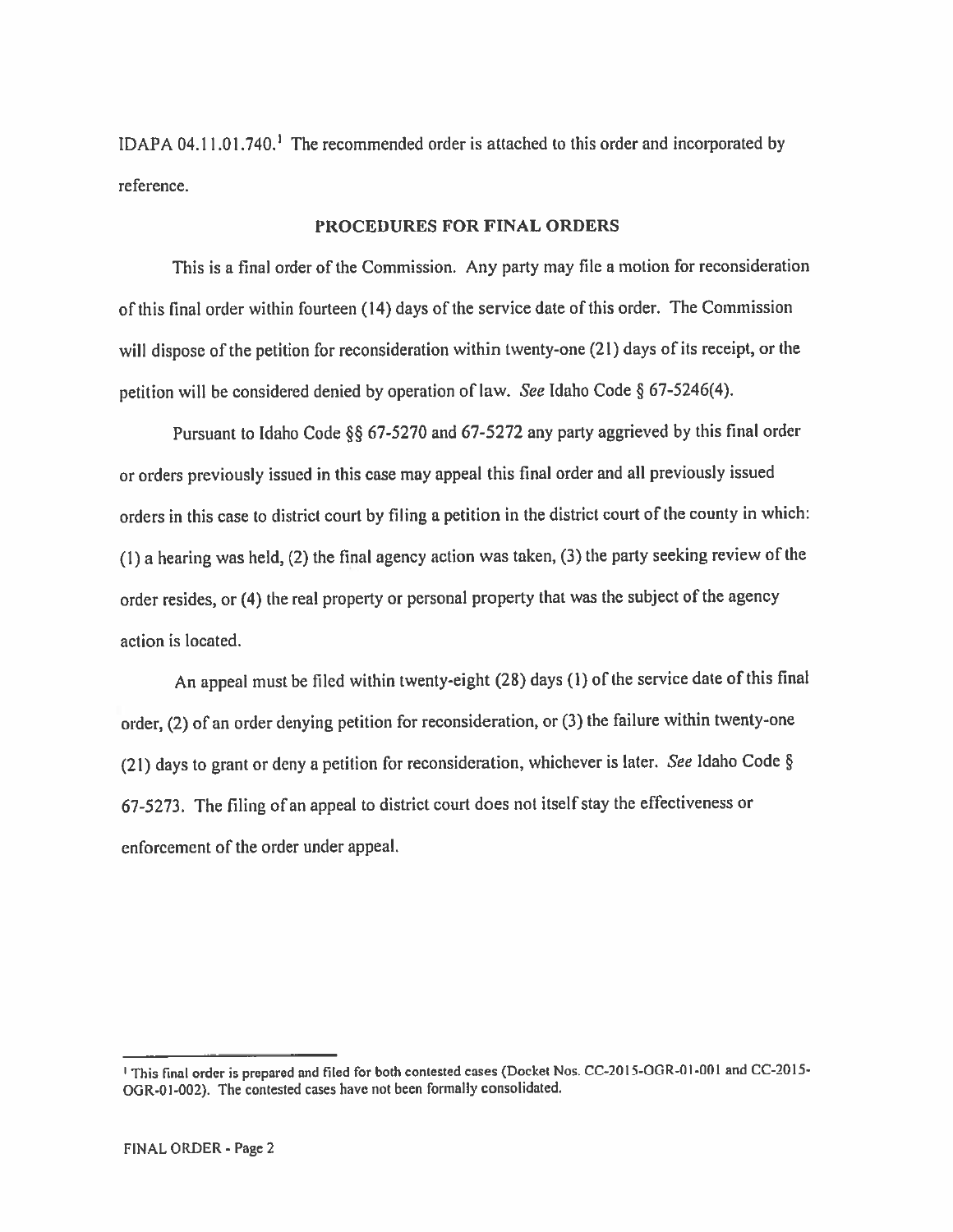IDAPA 04.! 1.01.740,' The recommended order is attached to this order and incorporated by reference.

## PROCEDURES FOR FINAL ORDERS

This is <sup>a</sup> final order of the Commission. Any party may file <sup>a</sup> motion for reconsideration of this final order within fourteen (14) days of the service date of this order. The Commission will dispose of the petition for reconsideration within twenty-one (21) days of its receipt, or the petition will be considered denied by operation of law. See Idaho Code § 67-5246(4).

Pursuant to Idaho Code  $\S$ § 67-5270 and 67-5272 any party aggrieved by this final order or orders previously issued in this case may appea<sup>l</sup> this final order and all previously issued orders in this case to district court by filing <sup>a</sup> petition in the district court of the county in which: (1) <sup>a</sup> hearing was held, (2) the final agency action was taken, (3) the party seeking review of the order resides, or (4) the real property or persona<sup>l</sup> property that was the subject of the agency action is located.

An appea<sup>l</sup> must be filed within twenty-eight (28) days (I) of the service date of this final order, (2) of an order denying petition for reconsideration, or (3) the failure within twenty-one (21) days to gran<sup>t</sup> or deny <sup>a</sup> petition for reconsideration, whichever is later. See Idaho Code § 67-5273. The filing of an appea<sup>l</sup> to district court does not itself stay the effectiveness or enforcement of the order under appeal.

<sup>&</sup>lt;sup>1</sup> This final order is prepared and filed for both contested cases (Docket Nos. CC-2015-OGR-01-001 and CC-2015-DGR-0l-002). The contested cases have not been formally consolidated.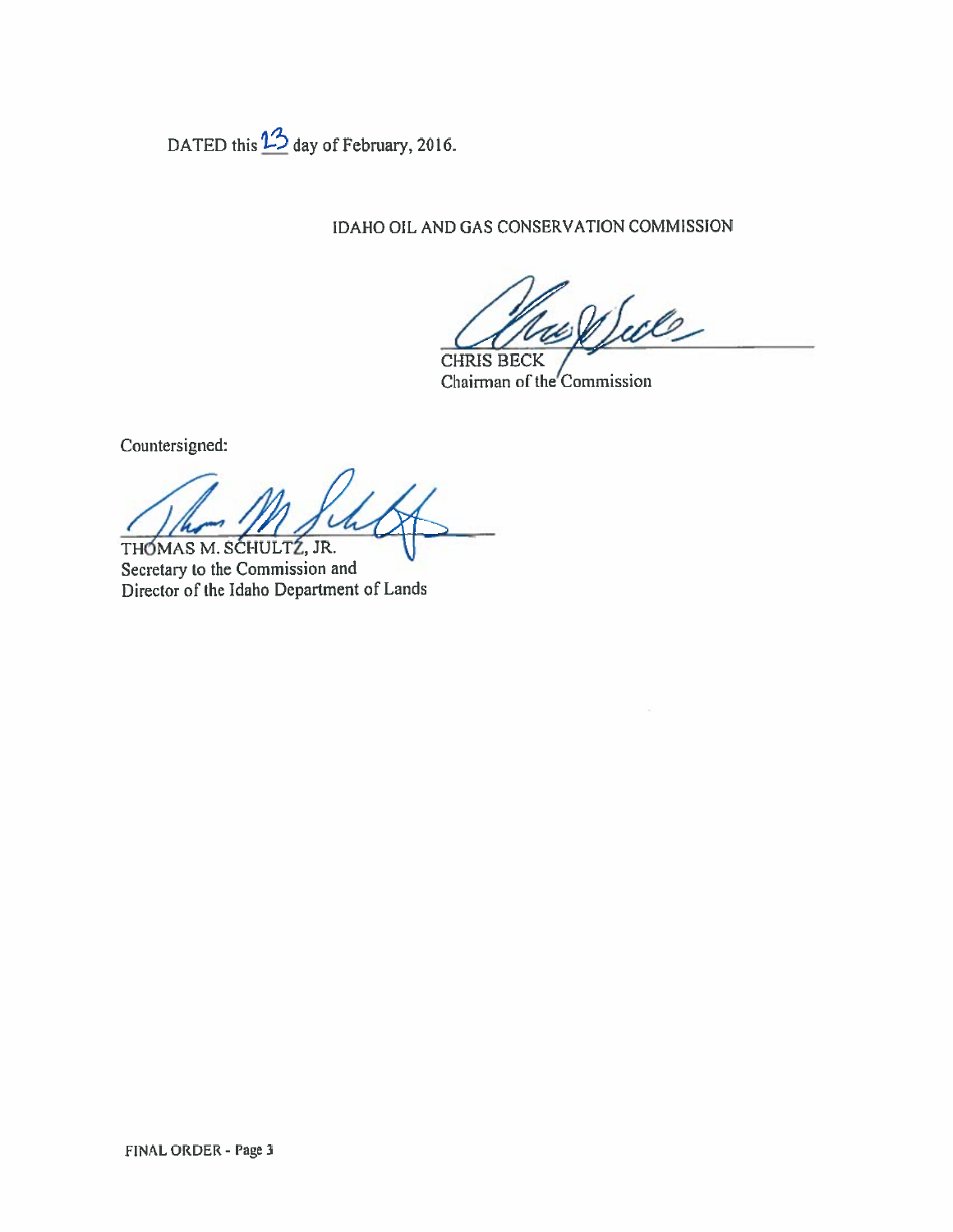DATED this  $\frac{13}{2}$  day of February, 2016.

IDAHO OIL AND GAS CONSERVATION COMMISSION

Sule CHRIS BECK

Chairman of the Commission

Countersigned:

THOMAS M. SCHULTZ, JR.

Secretary to the Commission and Director of the Idaho Department of Lands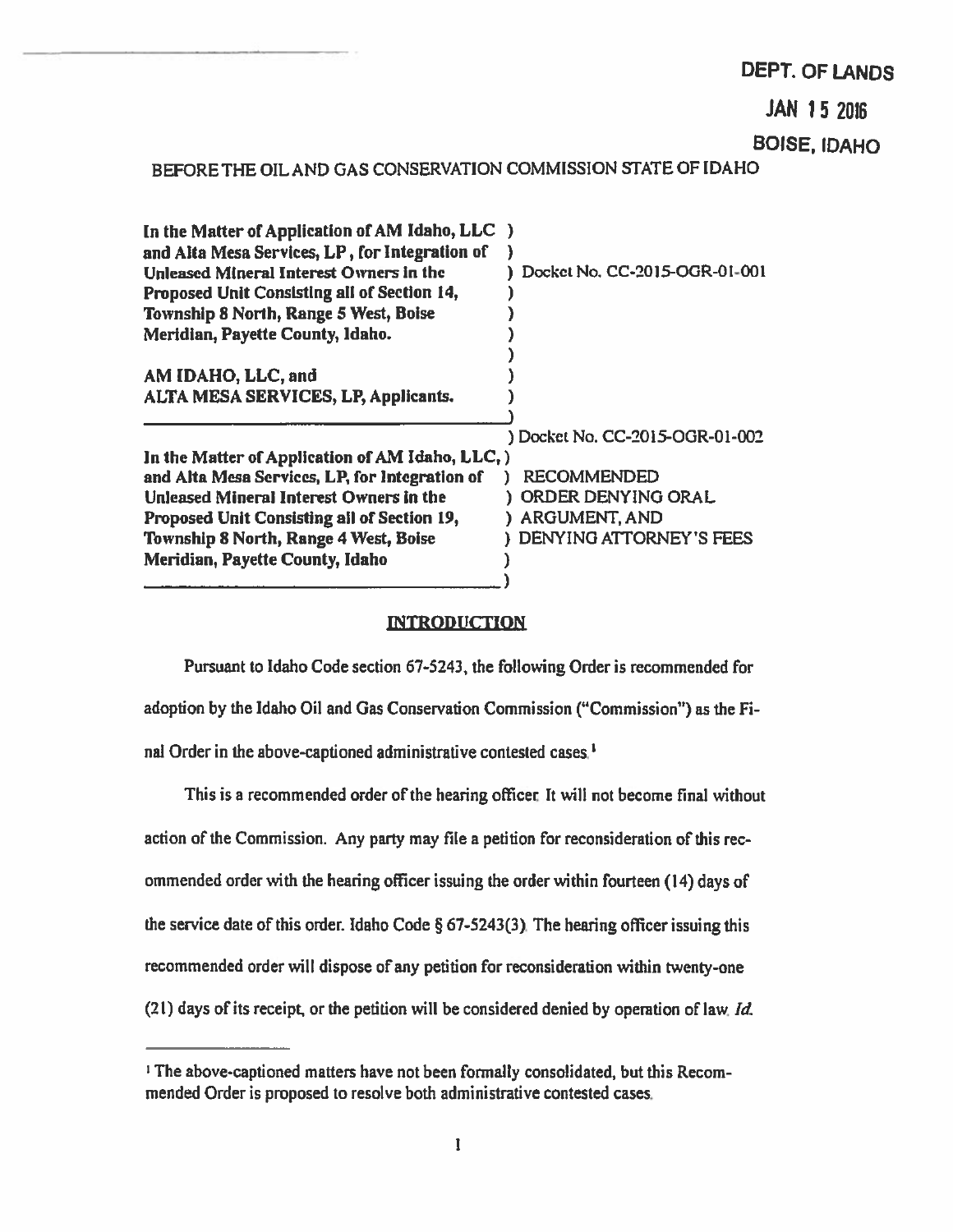# DEPT. OF LANDS

JAN 15 2D16

BOISE, IDAHO

# BEFORE THE OIL AND GAS CONSERVATION COMMISSION STATE OF IDAHO

| In the Matter of Application of AM Idaho, LLC )  |
|--------------------------------------------------|
|                                                  |
| Docket No. CC-2015-OGR-01-001                    |
|                                                  |
|                                                  |
|                                                  |
|                                                  |
|                                                  |
|                                                  |
|                                                  |
| ) Docket No. CC-2015-OGR-01-002                  |
| In the Matter of Application of AM Idaho, LLC, ) |
| <b>RECOMMENDED</b>                               |
| ORDER DENYING ORAL                               |
| <b>ARGUMENT, AND</b>                             |
| DENYING ATTORNEY'S FEES                          |
|                                                  |
|                                                  |
|                                                  |

# **INTRODUCTION**

Pursuant to Idaho Code section 67-5243, the following Order is recommended for adoption by the Idaho Oil and Gas Conservation Commission ("Commission") as the Fi nal Order in the above-captioned administrative contested cases.'

This is a recommended order of the hearing officer. It will not become final without action of the Commission. Any party may file <sup>a</sup> petition for reconsideration of this rec ommended order with the heating officer issuing the order within fourteen (14) days of the service date of this order. Idaho Code § 67-5243(3). The hearing officer issuing this recommended order will dispose of any petition for reconsideration within twenty-one  $(21)$  days of its receipt, or the petition will be considered denied by operation of law. Id.

<sup>&</sup>lt;sup>1</sup> The above-captioned matters have not been formally consolidated, but this Recommended Order is proposed to resolve both administrative contested cases.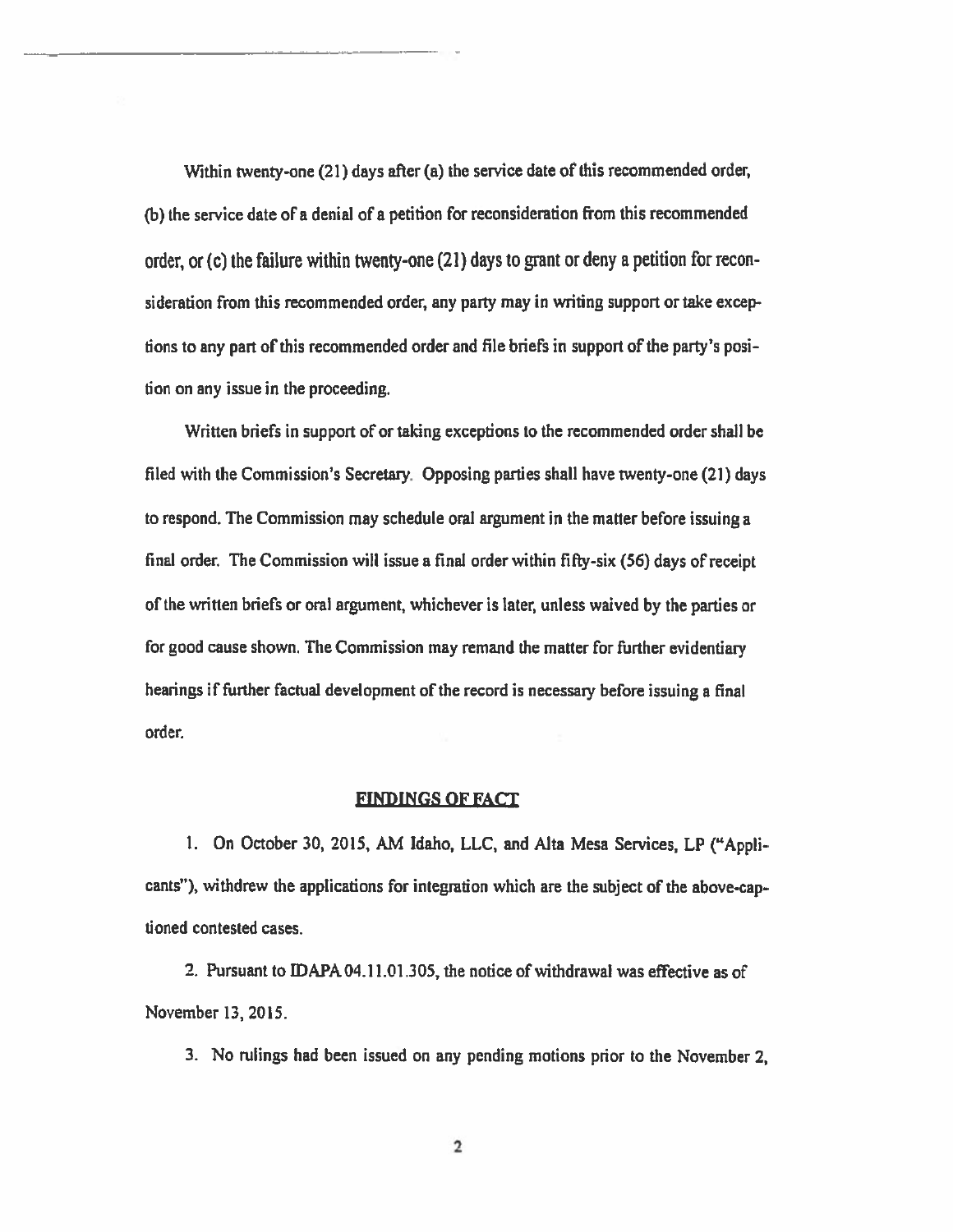Within twenty-one (21) days after (a) the service date of this recommended order, (b) the service date of <sup>a</sup> denial of <sup>a</sup> petition for reconsideration from this recommended order, or (c) the failure within twenty-one (21) days to gran<sup>t</sup> or deny <sup>a</sup> petition for recon sideration from this recommended order, any party may in writing suppor<sup>t</sup> or take excep tions to any part of this recommended order and file briefs in support of the party's position on any issue in the proceeding.

Written briefs in suppor<sup>t</sup> of or taking exceptions to the recommended order shall be filed with the Commission's Secretary. Opposing parties shall have twenty-one (21) days to respond. The Commission may schedule oral argumen<sup>t</sup> in the matter before issuing <sup>a</sup> final order. The Commission will issue <sup>a</sup> final order within fifty-six (56) days of receipt of the written briefs or oral argument, whichever is later, unless waived by the parties or for good cause shown. The Commission may remand the matter for further evidentiaiy hearings if further factual development of the record is necessary before issuing <sup>a</sup> final order.

# FINDINGS OF FACT

1. On October 30, 2015, AM Idaho, LLC, and Alta Mesa Services, LP ("Applicants"), withdrew the applications for integration which are the subject of the above-cap tioned contested cases.

2. Pursuant to DAPA 04.11.01.305, the notice of withdrawal was effective as of November 13, 2015.

3. No rulings had been issued on any pending motions prior to the November 2,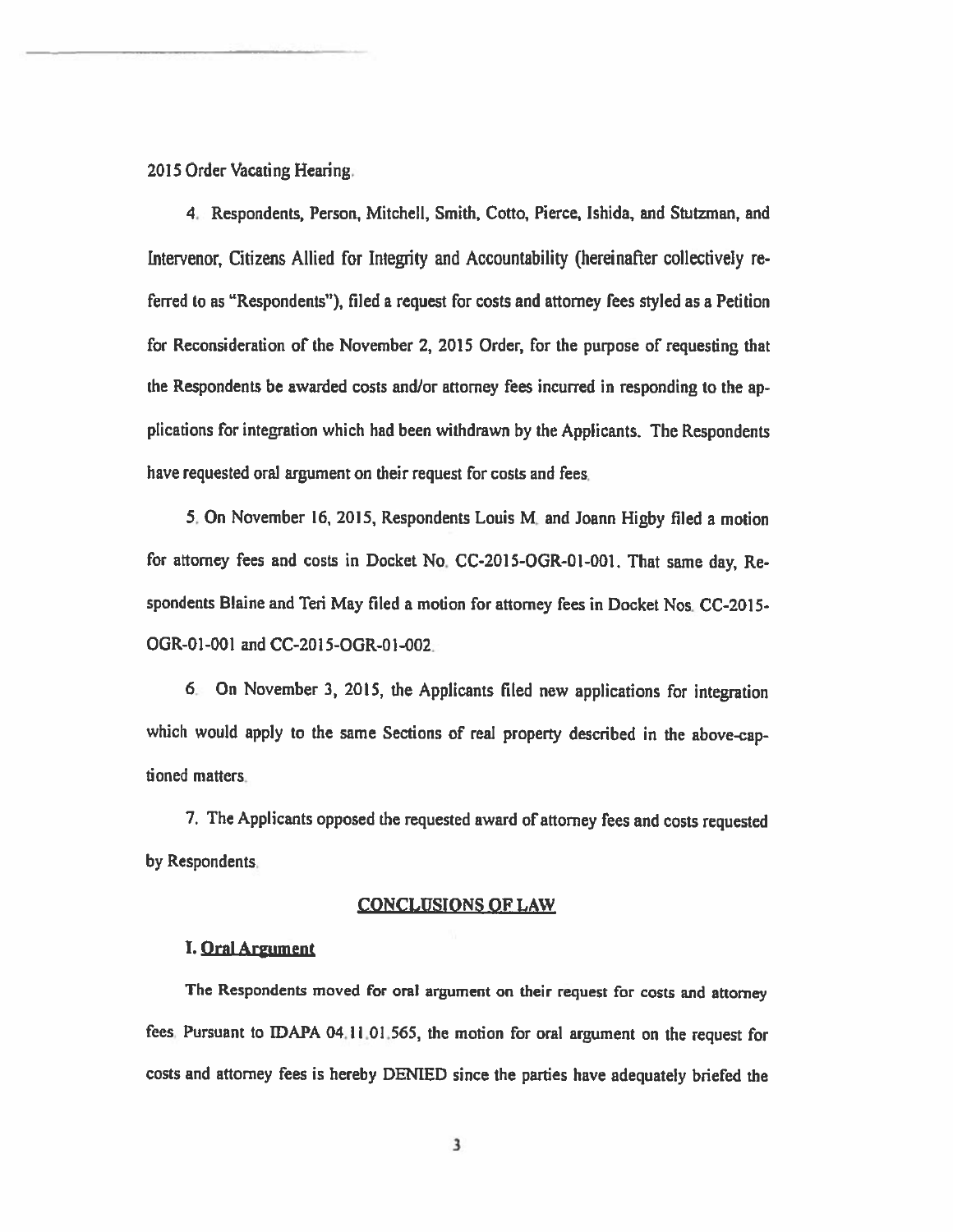2015 Order Vacating Hearing.

4. Respondents, Person, Mitchell, Smith, Cotto, Pierce, lshida, and Stutzman, and hitervenor, Citizens Allied for Integrity and Accountability (hereinafter collectively re ferred to as "Respondents"), filed <sup>a</sup> reques<sup>t</sup> for costs and attorney fees styled as <sup>a</sup> Petition for Reconsideration of the November 2, 2015 Order, for the purpose of requesting that the Respondents be awarded costs and/or attorney fees incurred in responding to the ap <sup>p</sup>lications for integration which had been withdrawn by the Applicants. The Respondents have requested oral argumen<sup>t</sup> on their reques<sup>t</sup> for costs and fees.

5. On November 16, 2015, Respondents Louis M. and Joann Higby filed <sup>a</sup> motion for attorney fees and costs in Docket No. CC-2015-OGR-01-001. That same day, Respondents Blaine and Teri May filed a motion for attorney fees in Docket Nos. CC-2015-OGR-01 -001 and CC-20 1 5-OGR-O 1-002.

<sup>6</sup> On November 3, 2015, the Applicants filed new applications for integration which would apply to the same Sections of real property described in the above-captioned matters

7. The Applicants oppose<sup>d</sup> the requested award of attorney fees and costs requested by Respondents.

#### CONCLUSIONS OF LAW

#### I. Oral Argument

The Respondents moved for oral argumen<sup>t</sup> on their reques<sup>t</sup> for costs and attorney fees. Pursuant to IDAPA 04.11.01.565, the motion for oral argument on the request for costs and attorney fees is hereby DENIED since the parties have adequately briefed the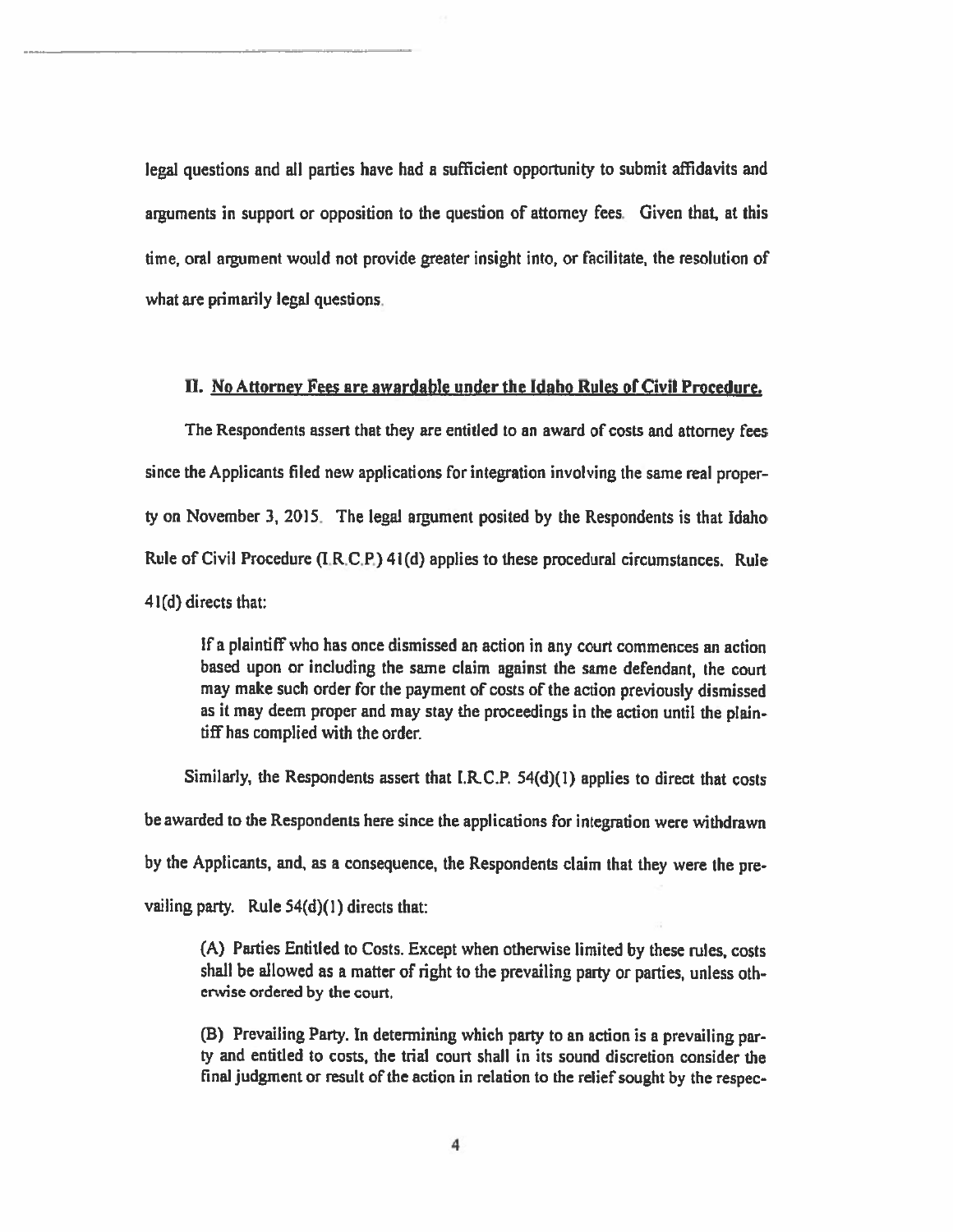legal questions and all parties have had <sup>a</sup> sufficient opportinity to submit affidavits and arguments in suppor<sup>t</sup> or opposition to the question of attorney fees. Given that, at this time, oral argumen<sup>t</sup> would not provide greater insight into, or facilitate, the resolution of what are primarily legal questions.

## II. No Attorney Fees are awardable under the Idaho Rules of Civil Procedure.

The Respondents assert that they are entitled to an award of costs and attorney fees since the Applicants filed new applications for integration involving the same real proper ty on November 3, 2015. The legal argumen<sup>t</sup> posited by the Respondents is that Idaho Rule of Civil Procedure  $(I, R, C, P)$  41(d) applies to these procedural circumstances. Rule 41(d) directs that:

If <sup>a</sup> <sup>p</sup>laintiff who has once dismissed an action in any court commences an action based upon or including the same claim against the same defendant, the court may make such order for the paymen<sup>t</sup> of costs of the action previously dismissed as it may deem proper and may stay the proceedings in the action until the <sup>p</sup>lain tiff has complied with the order.

Similarly, the Respondents assert that f.RC,P. 54(d)(l) applies to direct that costs be awarded to the Respondents here since the applications for integration were withdrawn by the Applicants, and, as <sup>a</sup> consequence, the Respondents claim that they were the pre vailing party. Rule  $54(d)(1)$  directs that:

(A) Parties Entitled to Costs. Except when otherwise limited by these rules, costs shall be allowed as a matter of right to the prevailing party or parties, unless othenvise ordered by the court.

(B) Prevailing Party. In determining which party to an action is <sup>a</sup> prevailing par ty and entitled to costs, the trial court shall in its sound discretion consider the final judgment or result of the action in relation to the relief sought by the respec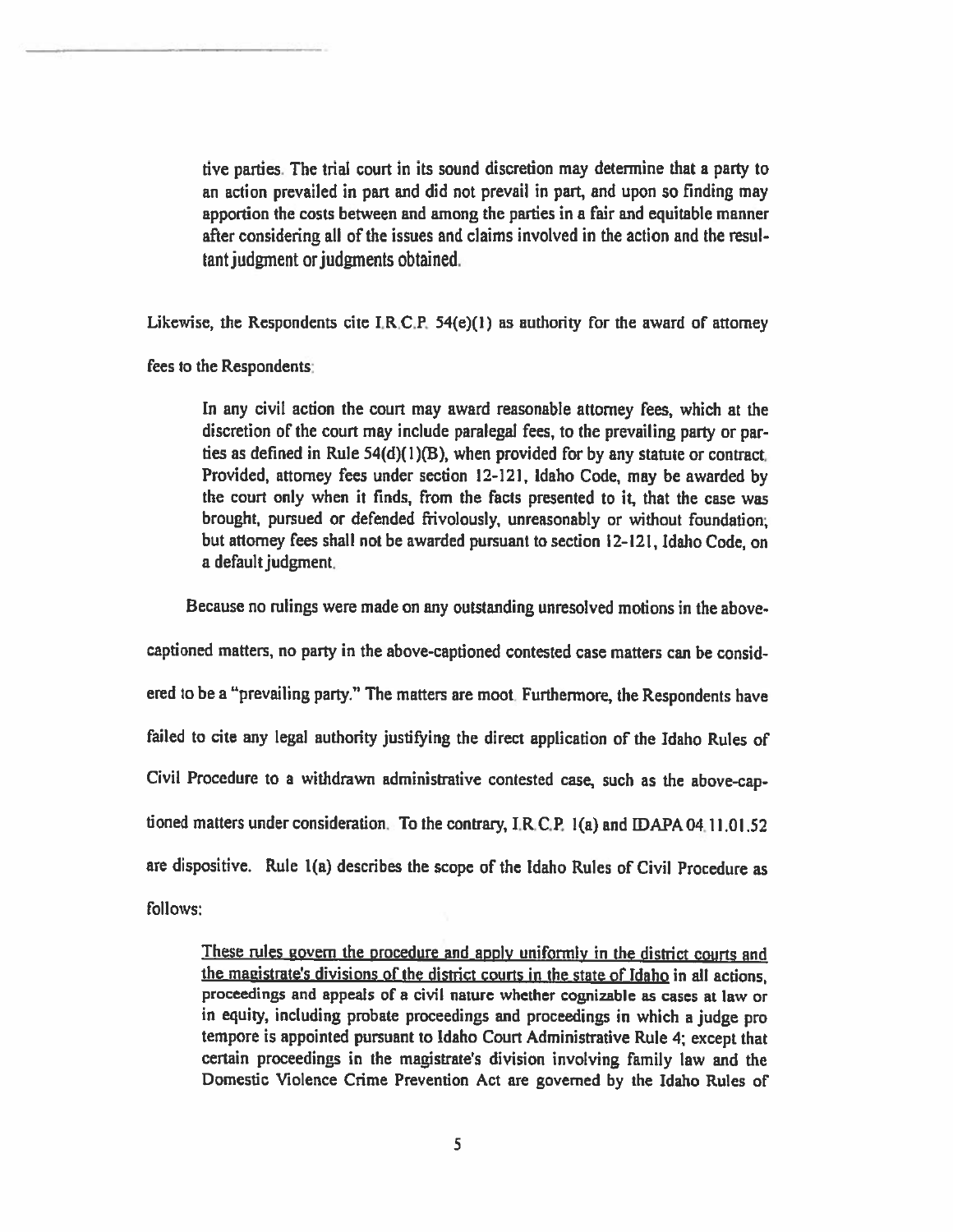dye parties. The trial court in its sound discretion may determine that <sup>a</sup> party to an action prevailed in part and did not prevail in part, and upon so finding may apportion the costs between and among the parties in <sup>a</sup> fair and equitable manner after considering all of the issues and claims involved in the action and the resultant judgment or judgments obtained.

Likewise, the Respondents cite  $I.R.C.P. 54(e)(1)$  as authority for the award of attorney

fees to the Respondents

In any civil action the court may award reasonable attorney fees, which at the discretion of the court may include paralegai fees, to the prevailing party or par ties as defined in Rule  $54(d)(1)(B)$ , when provided for by any statute or contract. Provided, attorney fees under section 12-121, Idaho Code, may be awarded by the court only when it finds, from the facts presented to it, that the case was brought, pursued or defended frivolously, unreasonably or without foundation; but attorney fees shall not be awarded pursuant to section 12-121, Idaho Code, on <sup>a</sup> default judgment,

Because no rulings were made on any outstanding unresolved motions in the above-

captioned matters, no party in the above-captioned contested case matters can be considered to be <sup>a</sup> "prevailing party." The matters are moot. Furthermore, the Respondents have failed to cite any legal authority justifying the direct application of the Idaho Rules of Civil Procedure to <sup>a</sup> withdrawn administrative contested case, such as the above-cap tioned matters under consideration. To the contrary, I.R.C.P. 1(a) and [DAPA 04.11.01.52 are dispositive. Rule 1(a) describes the scope of the Idaho Rules of Civil Procedure as follows:

These rules govern the procedure and apply uniformly in the district courts and the magistrate's divisions of the district courts in the state of Idaho in all actions, proceedings and appeals of <sup>a</sup> civil nature whether cognizable as cases at law or in equity, including probate proceedings and proceedings in which <sup>a</sup> judge pro tempore is appointed pursuant to idaho Court Administrative Rule 4; except that certain proceedings in the magistrate's division involving family law and the Domestic Violence Crime Prevention Act are governed by the Idaho Rules of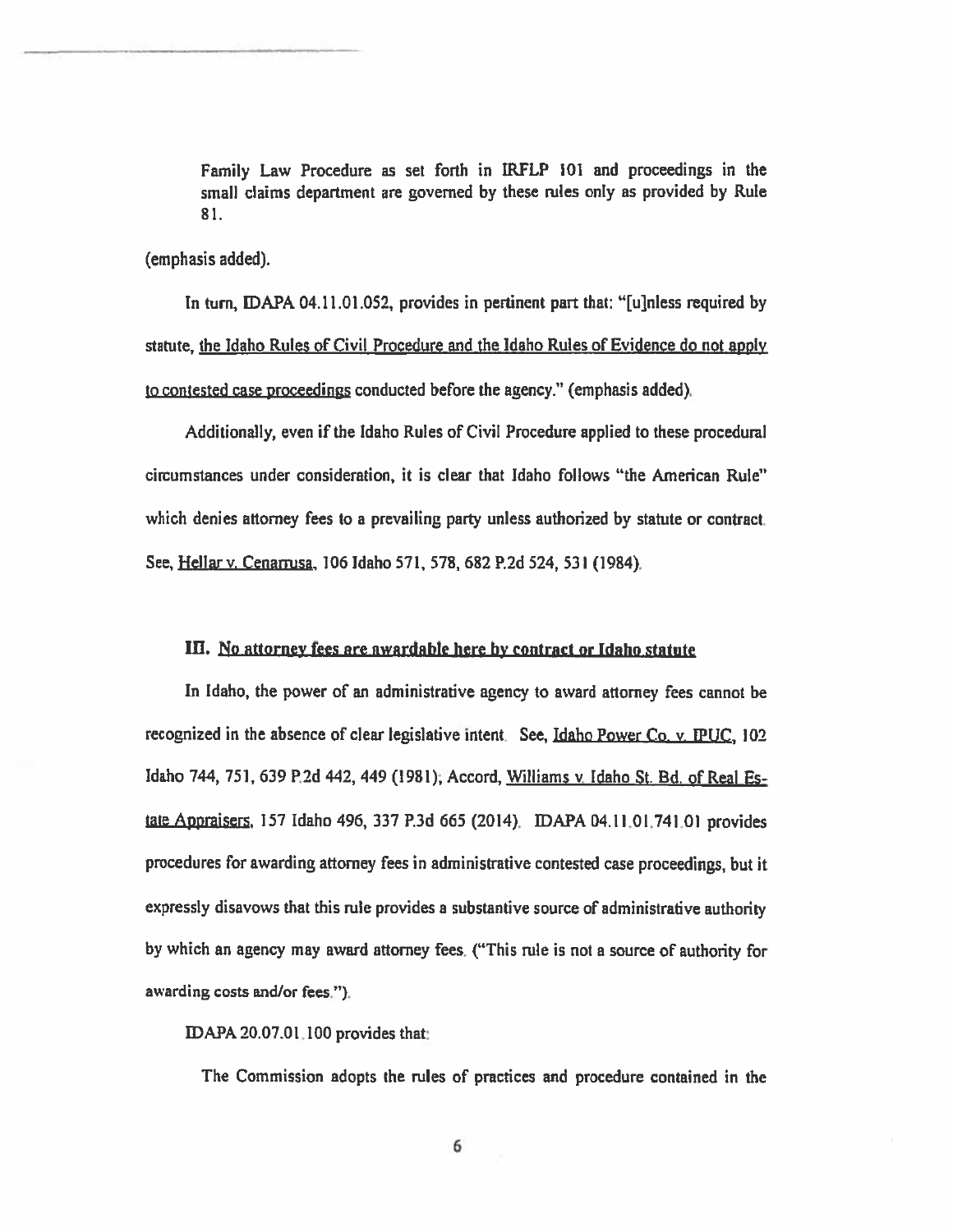Family Law Procedure as set forth in IRFLP 101 and proceedings in the small claims department are governed by these rules only as provided by Rule 81.

(emphasis added).

In turn, DAPA 04.11.01.052, provides in pertinent par<sup>t</sup> that: "[ujnless required by statute, the Idaho Rules of Civil Procedure and the Idaho Rules of Evidence do not apply to contested case proceedings conducted before the agency." (emphasis added).

Additionally, even if the Idaho Rules of Civil Procedure applied to these procedural circumstances under consideration, it is clear that Idaho follows "the American Rule" which denies attorney fees to <sup>a</sup> prevailing party unless authorized by statute or contract. See, Hellarv. Cenarrusa, 106 Idaho 571, 578, 682 P.2d 524, 531 (1984).

## Ifi. No attorney fees are awardable here by contract or Idaho statute

In Idaho, the power of an administrative agency to award attorney fees cannot be recognized in the absence of clear legislative intent. See, Idaho Power Co. v. IPUC, 102 Idaho 744, 751, 639 P.2d 442, 449 (1981); Accord, Williams v. Idaho St. Bd. of Real Estate Appraisers, <sup>157</sup> Idaho 496, <sup>337</sup> P.3d <sup>665</sup> (2014). DAPA 04.11.01.741.01 provides procedures for awarding attorney fees in administrative contested case proceedings, but it expressly disavows that this rule provides <sup>a</sup> substantive source of administrative authority by which an agency may award attorney fees. ("This rule is not a source of authority for awarding costs and/or fees.").

APA 20.07.01.100 provides that:

The Commission adopts the rules of practices and procedure contained in the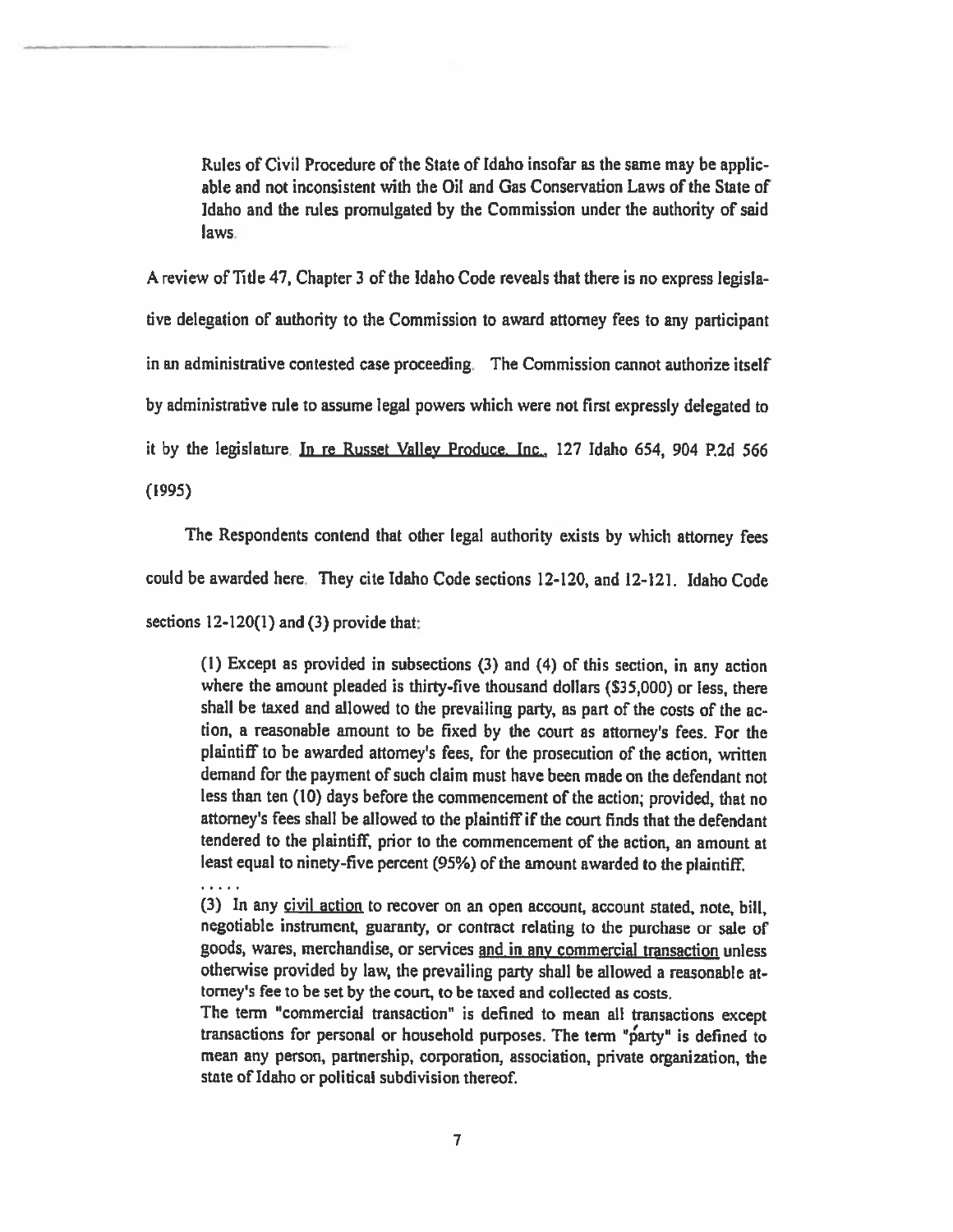Rules of Civil Procedure of the State of Idaho insofar as the same may be applic able and not inconsistent with the Oil and Gas Conservation Laws of the State of Idaho and the rules promulgated by the Commission under the authority of said laws.

<sup>A</sup> review of Title 47. Chapter 3 of the Idaho Code reveals that there is no express legisla dye delegation of authority to the Commission to award attorney fees to any participant in an administrative contested case proceeding. The Commission cannot authorize itself by administrative nile to assume legal powers which were not first expressly delegated to it by the Legislature In re Russet Valley Produce. Inc., 127 Idaho 654, 904 R2d 566 (1995)

The Respondents contend that other legal authority exists by which attorney fees

could be awarded here.. They cite Idaho Code sections 12-120, and 12-121. Idaho Code

sections 12-120(1) and (3) provide that:

(I) Except as provided in subsections (3) and (4) of this section, in any action where the amount pleaded is thirty-five thousand dollars (\$35,000) or less, there shall be taxed and allowed to the prevailing party, as part of the costs of the ac tion, <sup>a</sup> reasonable amount to be fixed by the court as attorney's fees. For the <sup>p</sup>laintiff to be awarded attorney's fees, for the prosecution of the action, written demand for the payment of such claim must have been made on the defendant not less than ten (10) days before the commencement of the action; provided, that no attorney's fees shall be allowed to the plaintiff if the court finds that the defendant tendered to the plaintiff, prior to the commencement of the action, an amount at least equa<sup>l</sup> to ninety-five percent (95%) of the amount awarded to the <sup>p</sup>laintiff.

 $\overline{1}$   $\overline{1}$   $\overline{1}$   $\overline{1}$   $\overline{1}$ 

(3) In any civil action to recover on an open account, account stated, note, bill, negotiable instrument, guaranty, or contract relating to the purchase or sale of goods, wares, merchandise, or services and in any commercial transaction unless otherwise provided by law, the prevailing party shall be allowed <sup>a</sup> reasonable at torney's fee to be set by the court, to be taxed and collected as costs.

The term "commercial transaction" is defined to mean all transactions except transactions for personal or household purposes. The term "party" is defined to mean any person, partnership, corporation, association, private organization, the state of Idaho or political subdivision thereof.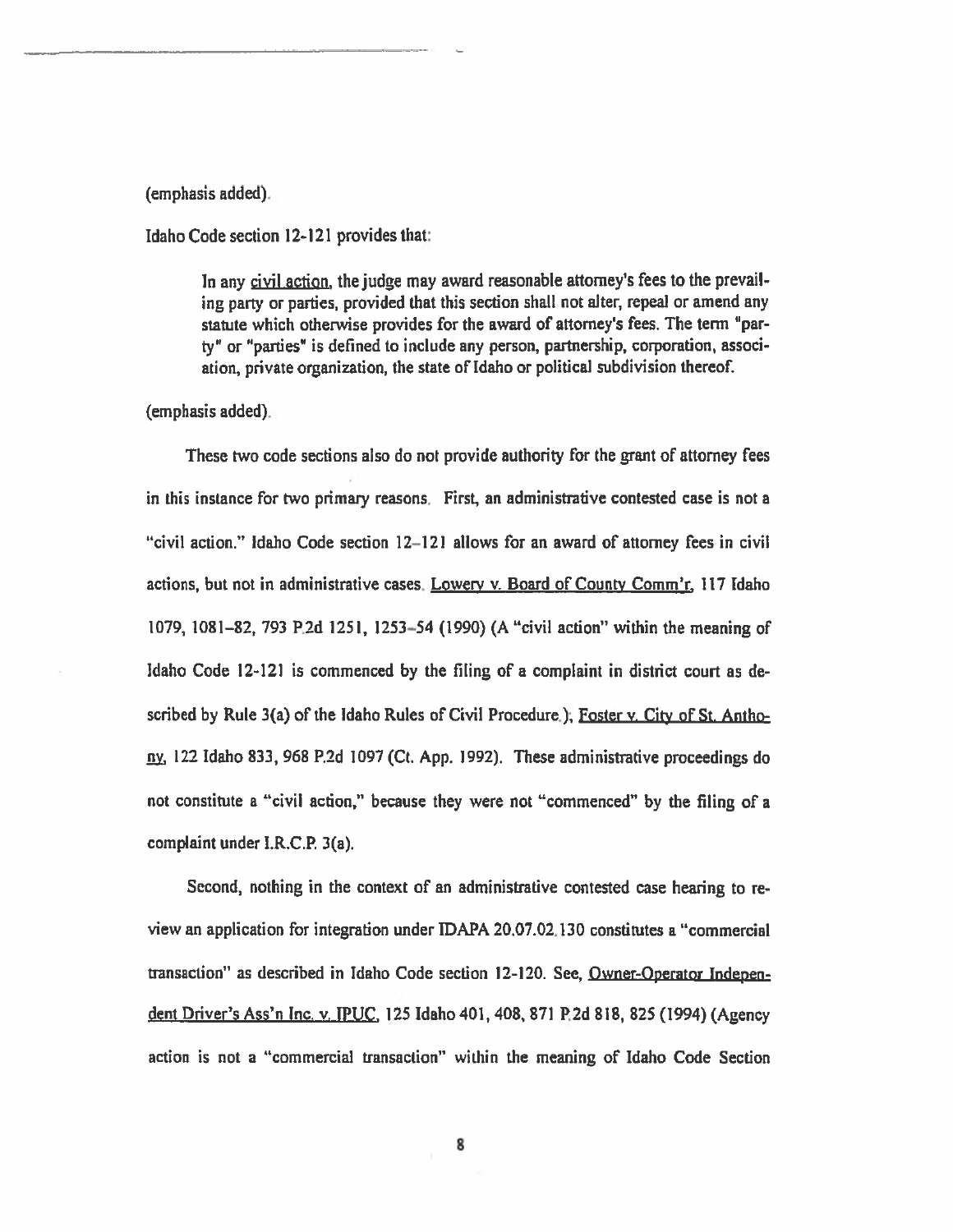#### (emphasis added).

Idaho Code section 12-121 provides that:

In any civil action, the judge may award reasonable attorney's fees to the prevailing party or parties, provided that this section shall not alter, repeal or amend any statute which otherwise provides for the award of attorney's fees. The term 'par ty" or "parties" is defined to include any person, partnership, corporation, associ ation, private organization, the state of Idaho or political subdivision thereof.

(emphasis added).

These two code sections also do not provide authority for the gran<sup>t</sup> of attorney fees in this instance for two primary reasons. First, an administrative contested case is not <sup>a</sup> "civil action." Idaho Code section 12—121 allows for an award of attorney fees in civil actions, but not in administrative cases. Lowery v. Board of County Comm'r,  $117$  Idaho 1079, 1081—82, 793 P.2d 1251, 1253—54 (1990) (A "civil action" within the meaning of Idaho Code 12-121 is commenced by the filing of <sup>a</sup> complaint in district court as de scribed by Rule 3(a) of the Idaho Rules of Civil Procedure.); Foster v. City of St. Anthony, <sup>122</sup> Idaho 833, <sup>968</sup> P.2d <sup>1097</sup> (Ct. App. 1992). These administrative proceedings do not constitute <sup>a</sup> "civil action," because they were not "commenced" by the filing of <sup>a</sup> complaint under I.R.C,P. 3(a).

Second, nothing in the context of an administrative contested case hearing to re view an application for integration under IDAPA 20.07.02.130 constitutes <sup>a</sup> "commercial transaction" as described in Idaho Code section 12-120. See, Owner-Operator Indepen dent Driver's Ass'n Inc. v. IPUC, 125 Idaho 401, 408, 871 P.2d 818, 825 (1994) (Agency action is not <sup>a</sup> "commercial transaction" within the meaning of Idaho Code Section